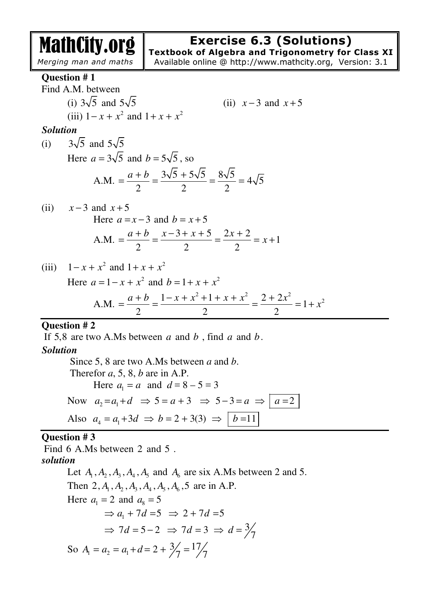# **Exercise 6.3 (Solutions)**

*Merging man and maths* 

MathCity.org

**Textbook of Algebra and Trigonometry for Class XI** Available online @ http://www.mathcity.org, Version: 3.1

#### **Question # 1**

Find A.M. between (i)  $3\sqrt{5}$  and  $5\sqrt{5}$  (ii)  $x-3$  and  $x+5$ (iii)  $1 - x + x^2$  and  $1 + x + x^2$ *Solution* 

#### (i)  $3\sqrt{5}$  and  $5\sqrt{5}$ Here  $a = 3\sqrt{5}$  and  $b = 5\sqrt{5}$ , so A.M.  $=\frac{a+b}{2}=\frac{3\sqrt{5}+5\sqrt{5}}{2}=\frac{8\sqrt{5}}{2}=4\sqrt{5}$ 2 2 2  $a + b$   $3\sqrt{5}$  +  $=\frac{u+v}{2}=\frac{3\sqrt{3}+3\sqrt{3}}{2}=\frac{6\sqrt{3}}{2}=$

(ii) 
$$
x-3
$$
 and  $x+5$   
Here  $a = x-3$  and  $b = x+5$   
A.M.  $= \frac{a+b}{2} = \frac{x-3+x+5}{2} = \frac{2x+2}{2} = x+1$ 

(iii)  $1 - x + x^2$  and  $1 + x + x^2$ Here  $a = 1 - x + x^2$  and  $b = 1 + x + x^2$ A.M.  $=\frac{a+b}{2}=\frac{1-x+x^2+1+x+x^2}{2}=\frac{2+2x^2}{2}=1+x^2$ 2 2 2  $a + b$   $1 - x + x^2 + 1 + x + x^2$   $2 + 2x$ *x*  $+ b$   $1-x+x^2+1+x+x^2$  2+  $=\frac{a+b}{2}=\frac{1-x+x+1+x+x}{2}=\frac{2+2x}{2}=1+$ 

#### **Question # 2**

If 5,8 are two A.Ms between *a* and *b* , find *a* and *b*.

### *Solution*

 Since 5, 8 are two A.Ms between *a* and *b*. Therefor *a*, 5, 8, *b* are in A.P. Here  $a_1 = a$  and  $d = 8 - 5 = 3$ Now  $a_2 = a_1 + d \Rightarrow 5 = a + 3 \Rightarrow 5 - 3 = a \Rightarrow a = 2$ Also  $a_4 = a_1 + 3d \Rightarrow b = 2 + 3(3) \Rightarrow \boxed{b = 11}$ 

### **Question # 3**

Find 6 A.Ms between 2 and 5 .

# *solution*

Let  $A_1, A_2, A_3, A_4, A_5$  and  $A_6$  are six A.Ms between 2 and 5. Then 2,  $A_1$ ,  $A_2$ ,  $A_3$ ,  $A_4$ ,  $A_5$ ,  $A_6$ , 5 are in A.P. Here  $a_1 = 2$  and  $a_8 = 5$  $\Rightarrow$  a<sub>1</sub> + 7d = 5  $\Rightarrow$  2 + 7d = 5  $\Rightarrow 7d = 5 - 2 \Rightarrow 7d = 3 \Rightarrow d = \frac{3}{7}$ So  $A_1 = a_2 = a_1 + d = 2 + \frac{3}{7} = \frac{17}{7}$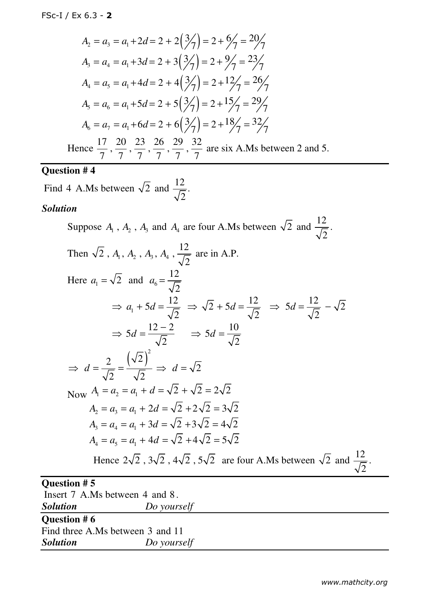$$
A_2 = a_3 = a_1 + 2d = 2 + 2\left(\frac{3}{7}\right) = 2 + \frac{6}{7} = \frac{20}{7}
$$
  
\n
$$
A_3 = a_4 = a_1 + 3d = 2 + 3\left(\frac{3}{7}\right) = 2 + \frac{9}{7} = \frac{23}{7}
$$
  
\n
$$
A_4 = a_5 = a_1 + 4d = 2 + 4\left(\frac{3}{7}\right) = 2 + \frac{12}{7} = \frac{26}{7}
$$
  
\n
$$
A_5 = a_6 = a_1 + 5d = 2 + 5\left(\frac{3}{7}\right) = 2 + \frac{15}{7} = \frac{29}{7}
$$
  
\n
$$
A_6 = a_7 = a_1 + 6d = 2 + 6\left(\frac{3}{7}\right) = 2 + \frac{18}{7} = \frac{32}{7}
$$

Hence  $\frac{17}{5}$ ,  $\frac{20}{5}$ ,  $\frac{23}{5}$ ,  $\frac{26}{5}$ ,  $\frac{29}{5}$ ,  $\frac{32}{5}$ 7 7 7 7 7 7 7 are six A.Ms between 2 and 5.

### **Question # 4**

Find 4 A.Ms between  $\sqrt{2}$  and  $\frac{12}{\sqrt{2}}$ . 2

*Solution Do yourself*

#### *Solution*

Suppose  $A_1$ ,  $A_2$ ,  $A_3$  and  $A_4$  are four A.Ms between  $\sqrt{2}$  and  $\frac{12}{\sqrt{2}}$ 2 . Then  $\sqrt{2}$ ,  $A_1$ ,  $A_2$ ,  $A_3$ ,  $A_4$ ,  $\frac{12}{\sqrt{2}}$ 2  $A_1, A_2, A_3, A_4, \frac{P}{\sqrt{P}}$  are in A.P. Here  $a_1 = \sqrt{2}$  and  $a_6$ 12 2  $a_6 =$  $\Rightarrow$   $a_1 + 5d = \frac{12}{\sqrt{2}}$ 2  $\Rightarrow a_1 + 5d = \frac{12}{5} \Rightarrow \sqrt{2} + 5d = \frac{12}{5}$ 2  $\Rightarrow$   $\sqrt{2} + 5d = \frac{12}{\sqrt{2}}$   $\Rightarrow$   $5d = \frac{12}{\sqrt{2}} - \sqrt{2}$ 2  $\Rightarrow$  5d =  $\frac{12}{\sqrt{2}}$  –  $5d = \frac{12 - 2}{\sqrt{2}}$ 2  $\Rightarrow$  5d =  $\frac{12-2}{5}$   $\Rightarrow$  5d =  $\frac{10}{5}$ 2  $\Rightarrow$  5*d* =  $\frac{10}{\sqrt{2}}$  $(\sqrt{2})$ 2  $(\sqrt{2})^2$ 2  $\sqrt{2}$  $\Rightarrow d = \frac{2}{\sqrt{2}} = \frac{1}{\sqrt{2}} \Rightarrow d = \sqrt{2}$ Now  $A_1 = a_2 = a_1 + d = \sqrt{2} + \sqrt{2} = 2\sqrt{2}$  $A_2 = a_3 = a_1 + 2d = \sqrt{2} + 2\sqrt{2} = 3\sqrt{2}$  $A_3 = a_4 = a_1 + 3d = \sqrt{2} + 3\sqrt{2} = 4\sqrt{2}$  $A_1 = a_5 = a_1 + 4d = \sqrt{2} + 4\sqrt{2} = 5\sqrt{2}$ Hence  $2\sqrt{2}$ ,  $3\sqrt{2}$ ,  $4\sqrt{2}$ ,  $5\sqrt{2}$  are four A.Ms between  $\sqrt{2}$  and  $\frac{12}{\sqrt{2}}$ 2 . **Question # 5**  Insert 7 A.Ms between 4 and 8 . *Solution Do yourself*  **Question # 6**  Find three A.Ms between 3 and 11